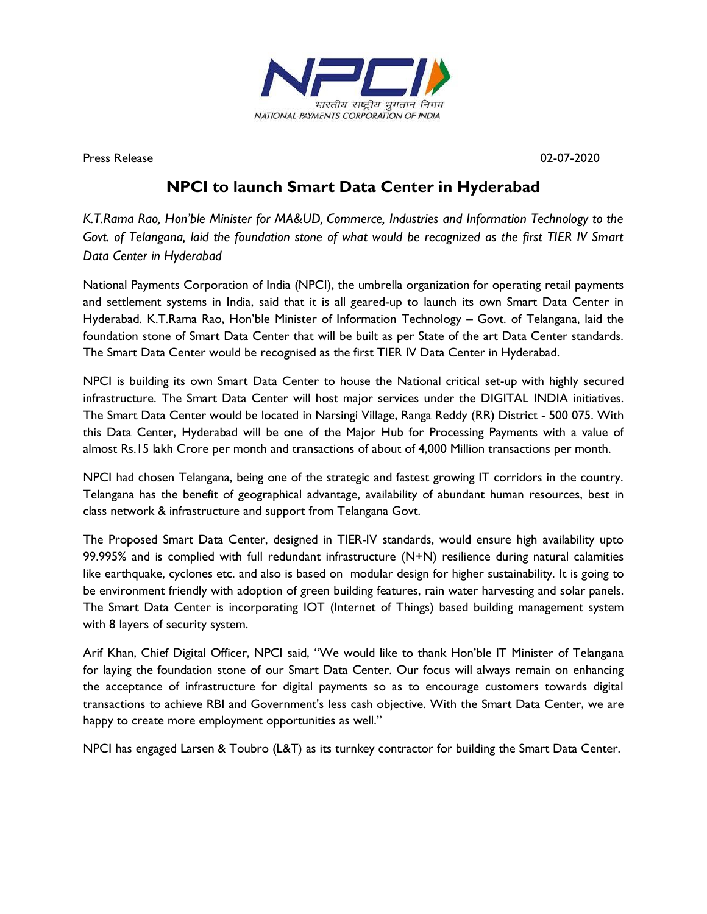

Press Release 02-07-2020

## **NPCI to launch Smart Data Center in Hyderabad**

*K.T.Rama Rao, Hon'ble Minister for MA&UD, Commerce, Industries and Information Technology to the* Govt. of Telangana, laid the foundation stone of what would be recognized as the first TIER IV Smart *Data Center in Hyderabad*

National Payments Corporation of India (NPCI), the umbrella organization for operating retail payments and settlement systems in India, said that it is all geared-up to launch its own Smart Data Center in Hyderabad. K.T.Rama Rao, Hon'ble Minister of Information Technology – Govt. of Telangana, laid the foundation stone of Smart Data Center that will be built as per State of the art Data Center standards. The Smart Data Center would be recognised as the first TIER IV Data Center in Hyderabad.

NPCI is building its own Smart Data Center to house the National critical set-up with highly secured infrastructure. The Smart Data Center will host major services under the DIGITAL INDIA initiatives. The Smart Data Center would be located in Narsingi Village, Ranga Reddy (RR) District - 500 075. With this Data Center, Hyderabad will be one of the Major Hub for Processing Payments with a value of almost Rs.15 lakh Crore per month and transactions of about of 4,000 Million transactions per month.

NPCI had chosen Telangana, being one of the strategic and fastest growing IT corridors in the country. Telangana has the benefit of geographical advantage, availability of abundant human resources, best in class network & infrastructure and support from Telangana Govt.

The Proposed Smart Data Center, designed in TIER-IV standards, would ensure high availability upto 99.995% and is complied with full redundant infrastructure  $(N+N)$  resilience during natural calamities like earthquake, cyclones etc. and also is based on modular design for higher sustainability. It is going to be environment friendly with adoption of green building features, rain water harvesting and solar panels. The Smart Data Center is incorporating IOT (Internet of Things) based building management system with 8 layers of security system.

Arif Khan, Chief Digital Officer, NPCI said, "We would like to thank Hon'ble IT Minister of Telangana for laying the foundation stone of our Smart Data Center. Our focus will always remain on enhancing the acceptance of infrastructure for digital payments so as to encourage customers towards digital transactions to achieve RBI and Government's less cash objective. With the Smart Data Center, we are happy to create more employment opportunities as well."

NPCI has engaged Larsen & Toubro (L&T) as its turnkey contractor for building the Smart Data Center.